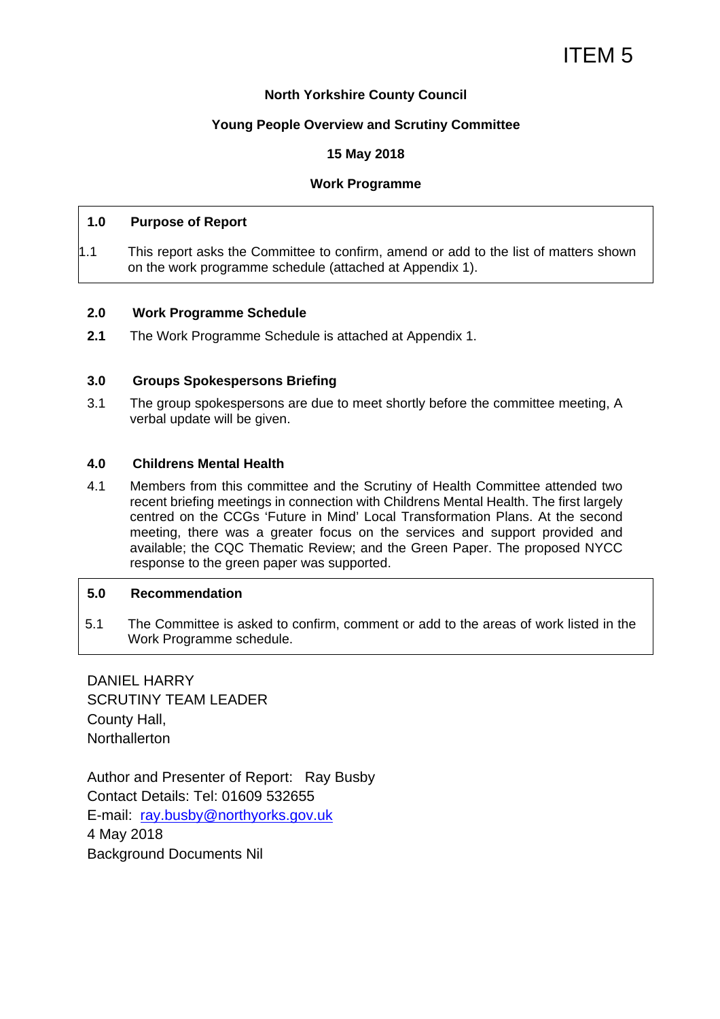## **North Yorkshire County Council**

## **Young People Overview and Scrutiny Committee**

## **15 May 2018**

## **Work Programme**

#### **1.0 Purpose of Report**

1.1 This report asks the Committee to confirm, amend or add to the list of matters shown on the work programme schedule (attached at Appendix 1).

#### **2.0 Work Programme Schedule**

**2.1** The Work Programme Schedule is attached at Appendix 1.

#### **3.0 Groups Spokespersons Briefing**

3.1 The group spokespersons are due to meet shortly before the committee meeting, A verbal update will be given.

#### **4.0 Childrens Mental Health**

4.1 Members from this committee and the Scrutiny of Health Committee attended two recent briefing meetings in connection with Childrens Mental Health. The first largely centred on the CCGs 'Future in Mind' Local Transformation Plans. At the second meeting, there was a greater focus on the services and support provided and available; the CQC Thematic Review; and the Green Paper. The proposed NYCC response to the green paper was supported.

## **5.0 Recommendation**

5.1 The Committee is asked to confirm, comment or add to the areas of work listed in the Work Programme schedule.

DANIEL HARRY SCRUTINY TEAM LEADER County Hall, **Northallerton** 

Author and Presenter of Report: Ray Busby Contact Details: Tel: 01609 532655 E-mail: ray.busby@northyorks.gov.uk 4 May 2018 Background Documents Nil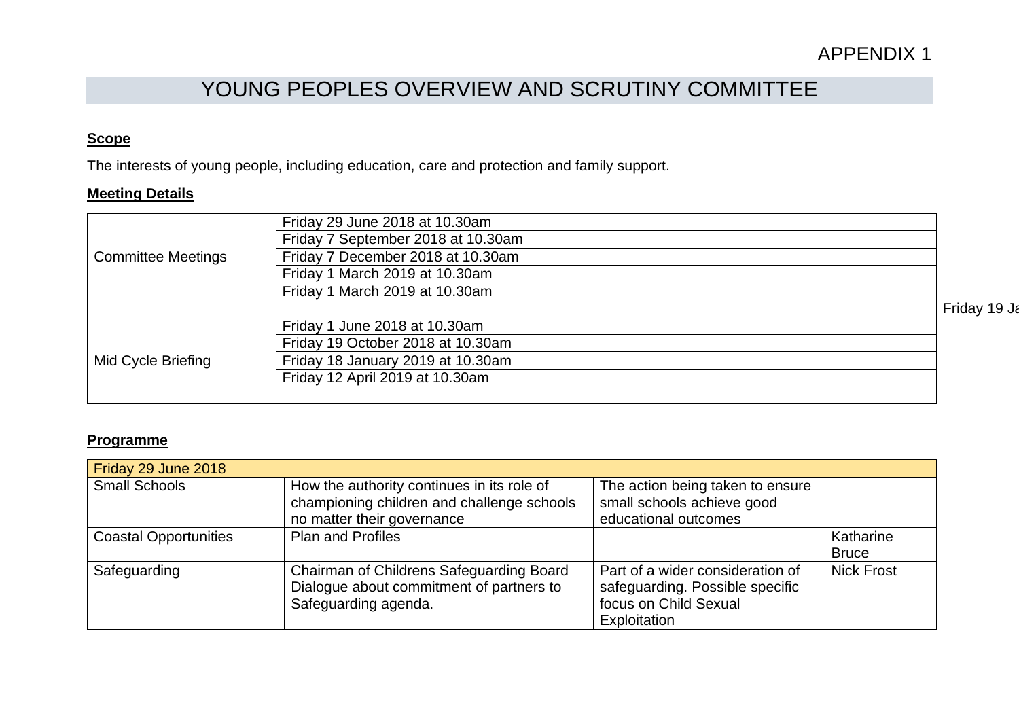# YOUNG PEOPLES OVERVIEW AND SCRUTINY COMMITTEE

## **Scope**

The interests of young people, including education, care and protection and family support.

## **Meeting Details**

| <b>Committee Meetings</b> | Friday 29 June 2018 at 10.30am     |              |
|---------------------------|------------------------------------|--------------|
|                           | Friday 7 September 2018 at 10.30am |              |
|                           | Friday 7 December 2018 at 10.30am  |              |
|                           | Friday 1 March 2019 at 10.30am     |              |
|                           | Friday 1 March 2019 at 10.30am     |              |
|                           |                                    | Friday 19 Ja |
| Mid Cycle Briefing        | Friday 1 June 2018 at 10.30am      |              |
|                           | Friday 19 October 2018 at 10.30am  |              |
|                           | Friday 18 January 2019 at 10.30am  |              |
|                           | Friday 12 April 2019 at 10.30am    |              |
|                           |                                    |              |

## **Programme**

| Friday 29 June 2018          |                                                                                                                        |                                                                                                              |                           |
|------------------------------|------------------------------------------------------------------------------------------------------------------------|--------------------------------------------------------------------------------------------------------------|---------------------------|
| <b>Small Schools</b>         | How the authority continues in its role of<br>championing children and challenge schools<br>no matter their governance | The action being taken to ensure<br>small schools achieve good<br>educational outcomes                       |                           |
| <b>Coastal Opportunities</b> | <b>Plan and Profiles</b>                                                                                               |                                                                                                              | Katharine<br><b>Bruce</b> |
| Safeguarding                 | Chairman of Childrens Safeguarding Board<br>Dialogue about commitment of partners to<br>Safeguarding agenda.           | Part of a wider consideration of<br>safeguarding. Possible specific<br>focus on Child Sexual<br>Exploitation | <b>Nick Frost</b>         |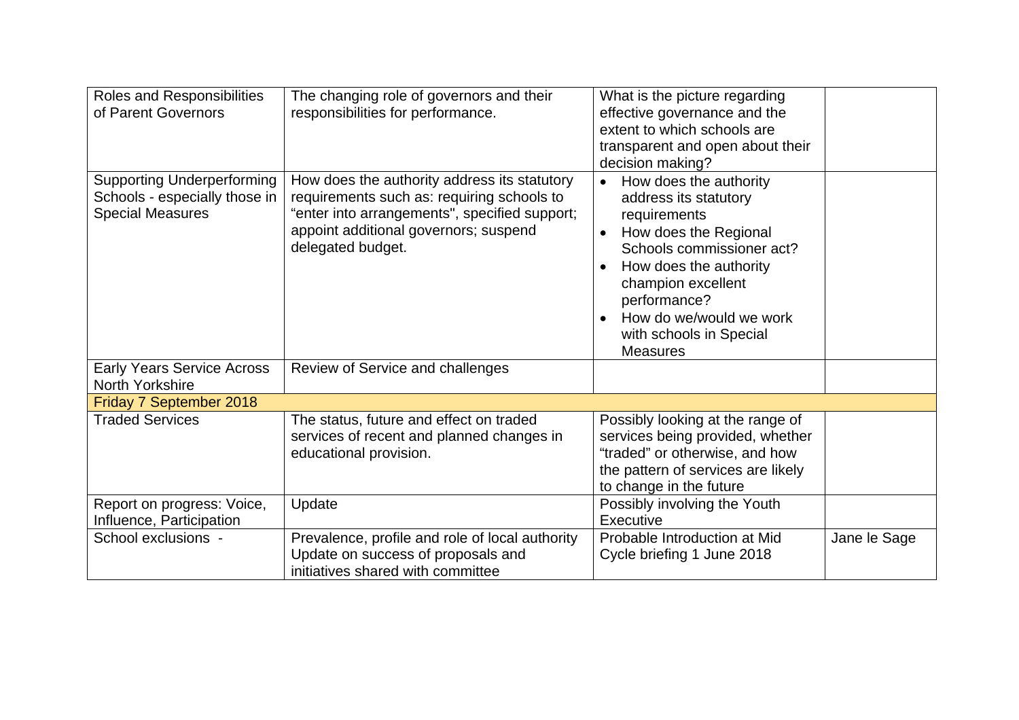| Roles and Responsibilities<br>of Parent Governors                                             | The changing role of governors and their<br>responsibilities for performance.                                                                                                                             | What is the picture regarding<br>effective governance and the<br>extent to which schools are<br>transparent and open about their<br>decision making?                                                                                                                                                  |              |
|-----------------------------------------------------------------------------------------------|-----------------------------------------------------------------------------------------------------------------------------------------------------------------------------------------------------------|-------------------------------------------------------------------------------------------------------------------------------------------------------------------------------------------------------------------------------------------------------------------------------------------------------|--------------|
| <b>Supporting Underperforming</b><br>Schools - especially those in<br><b>Special Measures</b> | How does the authority address its statutory<br>requirements such as: requiring schools to<br>"enter into arrangements", specified support;<br>appoint additional governors; suspend<br>delegated budget. | How does the authority<br>$\bullet$<br>address its statutory<br>requirements<br>How does the Regional<br>$\bullet$<br>Schools commissioner act?<br>How does the authority<br>$\bullet$<br>champion excellent<br>performance?<br>How do we/would we work<br>with schools in Special<br><b>Measures</b> |              |
| <b>Early Years Service Across</b><br>North Yorkshire                                          | Review of Service and challenges                                                                                                                                                                          |                                                                                                                                                                                                                                                                                                       |              |
| Friday 7 September 2018                                                                       |                                                                                                                                                                                                           |                                                                                                                                                                                                                                                                                                       |              |
| <b>Traded Services</b>                                                                        | The status, future and effect on traded<br>services of recent and planned changes in<br>educational provision.                                                                                            | Possibly looking at the range of<br>services being provided, whether<br>"traded" or otherwise, and how<br>the pattern of services are likely<br>to change in the future                                                                                                                               |              |
| Report on progress: Voice,<br>Influence, Participation                                        | Update                                                                                                                                                                                                    | Possibly involving the Youth<br>Executive                                                                                                                                                                                                                                                             |              |
| School exclusions -                                                                           | Prevalence, profile and role of local authority<br>Update on success of proposals and<br>initiatives shared with committee                                                                                | Probable Introduction at Mid<br>Cycle briefing 1 June 2018                                                                                                                                                                                                                                            | Jane le Sage |